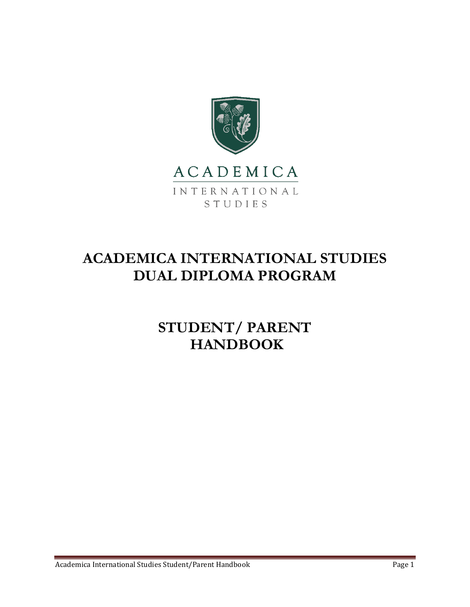



# **ACADEMICA INTERNATIONAL STUDIES DUAL DIPLOMA PROGRAM**

**STUDENT/ PARENT HANDBOOK**

Academica International Studies Student/Parent Handbook Page 1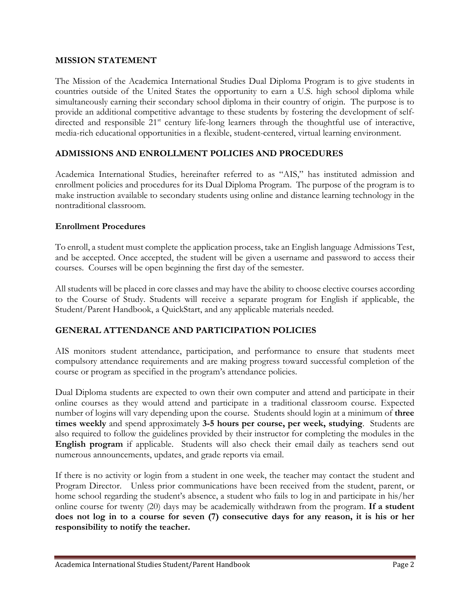#### **MISSION STATEMENT**

The Mission of the Academica International Studies Dual Diploma Program is to give students in countries outside of the United States the opportunity to earn a U.S. high school diploma while simultaneously earning their secondary school diploma in their country of origin. The purpose is to provide an additional competitive advantage to these students by fostering the development of selfdirected and responsible 21<sup>st</sup> century life-long learners through the thoughtful use of interactive, media-rich educational opportunities in a flexible, student-centered, virtual learning environment.

## **ADMISSIONS AND ENROLLMENT POLICIES AND PROCEDURES**

Academica International Studies, hereinafter referred to as "AIS," has instituted admission and enrollment policies and procedures for its Dual Diploma Program. The purpose of the program is to make instruction available to secondary students using online and distance learning technology in the nontraditional classroom.

#### **Enrollment Procedures**

To enroll, a student must complete the application process, take an English language Admissions Test, and be accepted. Once accepted, the student will be given a username and password to access their courses. Courses will be open beginning the first day of the semester.

All students will be placed in core classes and may have the ability to choose elective courses according to the Course of Study. Students will receive a separate program for English if applicable, the Student/Parent Handbook, a QuickStart, and any applicable materials needed.

## **GENERAL ATTENDANCE AND PARTICIPATION POLICIES**

AIS monitors student attendance, participation, and performance to ensure that students meet compulsory attendance requirements and are making progress toward successful completion of the course or program as specified in the program's attendance policies.

Dual Diploma students are expected to own their own computer and attend and participate in their online courses as they would attend and participate in a traditional classroom course. Expected number of logins will vary depending upon the course. Students should login at a minimum of **three times weekly** and spend approximately **3-5 hours per course, per week, studying**. Students are also required to follow the guidelines provided by their instructor for completing the modules in the **English program** if applicable. Students will also check their email daily as teachers send out numerous announcements, updates, and grade reports via email.

If there is no activity or login from a student in one week, the teacher may contact the student and Program Director. Unless prior communications have been received from the student, parent, or home school regarding the student's absence, a student who fails to log in and participate in his/her online course for twenty (20) days may be academically withdrawn from the program. **If a student does not log in to a course for seven (7) consecutive days for any reason, it is his or her responsibility to notify the teacher.**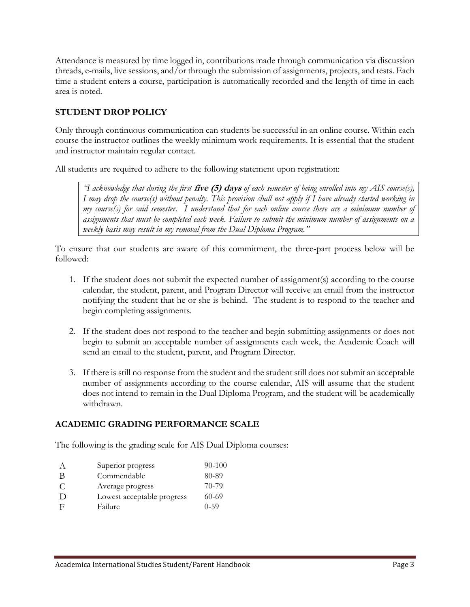Attendance is measured by time logged in, contributions made through communication via discussion threads, e-mails, live sessions, and/or through the submission of assignments, projects, and tests. Each time a student enters a course, participation is automatically recorded and the length of time in each area is noted.

# **STUDENT DROP POLICY**

Only through continuous communication can students be successful in an online course. Within each course the instructor outlines the weekly minimum work requirements. It is essential that the student and instructor maintain regular contact.

All students are required to adhere to the following statement upon registration:

*"I acknowledge that during the first* **five (5) days** *of each semester of being enrolled into my AIS course(s), I may drop the course(s) without penalty. This provision shall not apply if I have already started working in my course(s) for said semester. I understand that for each online course there are a minimum number of assignments that must be completed each week. Failure to submit the minimum number of assignments on a weekly basis may result in my removal from the Dual Diploma Program."*

To ensure that our students are aware of this commitment, the three-part process below will be followed:

- 1. If the student does not submit the expected number of assignment(s) according to the course calendar, the student, parent, and Program Director will receive an email from the instructor notifying the student that he or she is behind. The student is to respond to the teacher and begin completing assignments.
- 2. If the student does not respond to the teacher and begin submitting assignments or does not begin to submit an acceptable number of assignments each week, the Academic Coach will send an email to the student, parent, and Program Director.
- 3. If there is still no response from the student and the student still does not submit an acceptable number of assignments according to the course calendar, AIS will assume that the student does not intend to remain in the Dual Diploma Program, and the student will be academically withdrawn.

## **ACADEMIC GRADING PERFORMANCE SCALE**

The following is the grading scale for AIS Dual Diploma courses:

| $\forall$    | Superior progress          | $90 - 100$ |
|--------------|----------------------------|------------|
| B            | Commendable                | 80-89      |
| <sup>.</sup> | Average progress           | 70-79      |
| D            | Lowest acceptable progress | $60 - 69$  |
| E            | Failure                    | $0 - 59$   |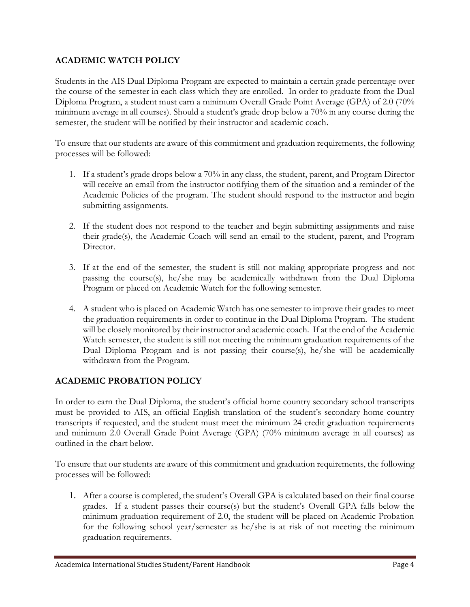# **ACADEMIC WATCH POLICY**

Students in the AIS Dual Diploma Program are expected to maintain a certain grade percentage over the course of the semester in each class which they are enrolled. In order to graduate from the Dual Diploma Program, a student must earn a minimum Overall Grade Point Average (GPA) of 2.0 (70% minimum average in all courses). Should a student's grade drop below a 70% in any course during the semester, the student will be notified by their instructor and academic coach.

To ensure that our students are aware of this commitment and graduation requirements, the following processes will be followed:

- 1. If a student's grade drops below a 70% in any class, the student, parent, and Program Director will receive an email from the instructor notifying them of the situation and a reminder of the Academic Policies of the program. The student should respond to the instructor and begin submitting assignments.
- 2. If the student does not respond to the teacher and begin submitting assignments and raise their grade(s), the Academic Coach will send an email to the student, parent, and Program Director.
- 3. If at the end of the semester, the student is still not making appropriate progress and not passing the course(s), he/she may be academically withdrawn from the Dual Diploma Program or placed on Academic Watch for the following semester.
- 4. A student who is placed on Academic Watch has one semester to improve their grades to meet the graduation requirements in order to continue in the Dual Diploma Program. The student will be closely monitored by their instructor and academic coach. If at the end of the Academic Watch semester, the student is still not meeting the minimum graduation requirements of the Dual Diploma Program and is not passing their course(s), he/she will be academically withdrawn from the Program.

## **ACADEMIC PROBATION POLICY**

In order to earn the Dual Diploma, the student's official home country secondary school transcripts must be provided to AIS, an official English translation of the student's secondary home country transcripts if requested, and the student must meet the minimum 24 credit graduation requirements and minimum 2.0 Overall Grade Point Average (GPA) (70% minimum average in all courses) as outlined in the chart below.

To ensure that our students are aware of this commitment and graduation requirements, the following processes will be followed:

1. After a course is completed, the student's Overall GPA is calculated based on their final course grades. If a student passes their course(s) but the student's Overall GPA falls below the minimum graduation requirement of 2.0, the student will be placed on Academic Probation for the following school year/semester as he/she is at risk of not meeting the minimum graduation requirements.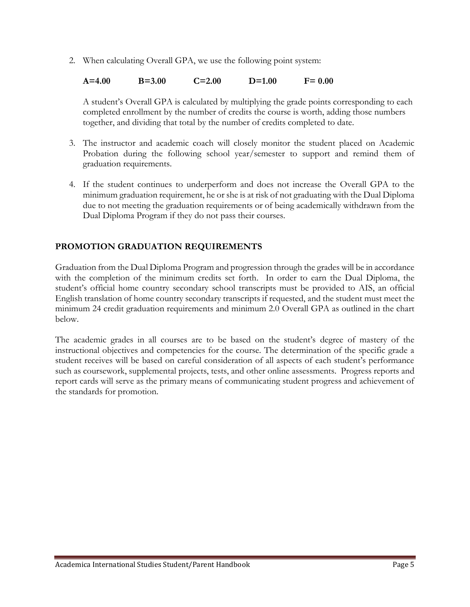2. When calculating Overall GPA, we use the following point system:

**A=4.00 B=3.00 C=2.00 D=1.00 F= 0.00**

A student's Overall GPA is calculated by multiplying the grade points corresponding to each completed enrollment by the number of credits the course is worth, adding those numbers together, and dividing that total by the number of credits completed to date.

- 3. The instructor and academic coach will closely monitor the student placed on Academic Probation during the following school year/semester to support and remind them of graduation requirements.
- 4. If the student continues to underperform and does not increase the Overall GPA to the minimum graduation requirement, he or she is at risk of not graduating with the Dual Diploma due to not meeting the graduation requirements or of being academically withdrawn from the Dual Diploma Program if they do not pass their courses.

# **PROMOTION GRADUATION REQUIREMENTS**

Graduation from the Dual Diploma Program and progression through the grades will be in accordance with the completion of the minimum credits set forth. In order to earn the Dual Diploma, the student's official home country secondary school transcripts must be provided to AIS, an official English translation of home country secondary transcripts if requested, and the student must meet the minimum 24 credit graduation requirements and minimum 2.0 Overall GPA as outlined in the chart below.

The academic grades in all courses are to be based on the student's degree of mastery of the instructional objectives and competencies for the course. The determination of the specific grade a student receives will be based on careful consideration of all aspects of each student's performance such as coursework, supplemental projects, tests, and other online assessments. Progress reports and report cards will serve as the primary means of communicating student progress and achievement of the standards for promotion.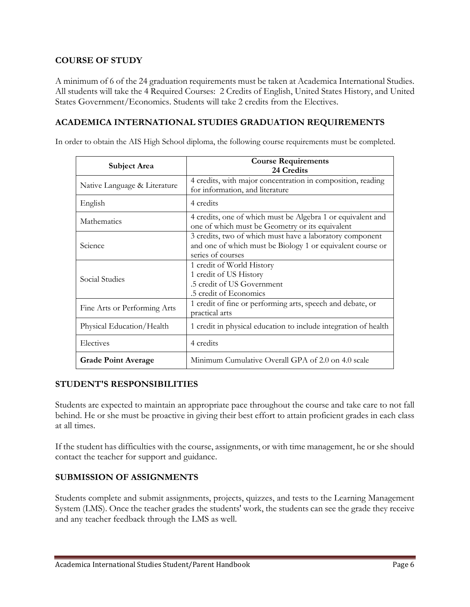#### **COURSE OF STUDY**

A minimum of 6 of the 24 graduation requirements must be taken at Academica International Studies. All students will take the 4 Required Courses: 2 Credits of English, United States History, and United States Government/Economics. Students will take 2 credits from the Electives.

## **ACADEMICA INTERNATIONAL STUDIES GRADUATION REQUIREMENTS**

In order to obtain the AIS High School diploma, the following course requirements must be completed.

| <b>Subject Area</b>          | <b>Course Requirements</b><br>24 Credits                                                                                                    |
|------------------------------|---------------------------------------------------------------------------------------------------------------------------------------------|
| Native Language & Literature | 4 credits, with major concentration in composition, reading<br>for information, and literature                                              |
| English                      | 4 credits                                                                                                                                   |
| Mathematics                  | 4 credits, one of which must be Algebra 1 or equivalent and<br>one of which must be Geometry or its equivalent                              |
| Science                      | 3 credits, two of which must have a laboratory component<br>and one of which must be Biology 1 or equivalent course or<br>series of courses |
| Social Studies               | 1 credit of World History<br>1 credit of US History<br>.5 credit of US Government<br>.5 credit of Economics                                 |
| Fine Arts or Performing Arts | 1 credit of fine or performing arts, speech and debate, or<br>practical arts                                                                |
| Physical Education/Health    | 1 credit in physical education to include integration of health                                                                             |
| Electives                    | 4 credits                                                                                                                                   |
| <b>Grade Point Average</b>   | Minimum Cumulative Overall GPA of 2.0 on 4.0 scale                                                                                          |

#### **STUDENT'S RESPONSIBILITIES**

Students are expected to maintain an appropriate pace throughout the course and take care to not fall behind. He or she must be proactive in giving their best effort to attain proficient grades in each class at all times.

If the student has difficulties with the course, assignments, or with time management, he or she should contact the teacher for support and guidance.

#### **SUBMISSION OF ASSIGNMENTS**

Students complete and submit assignments, projects, quizzes, and tests to the Learning Management System (LMS). Once the teacher grades the students' work, the students can see the grade they receive and any teacher feedback through the LMS as well.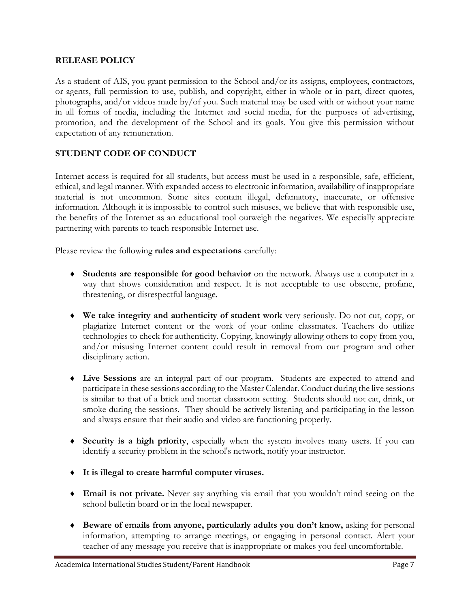#### **RELEASE POLICY**

As a student of AIS, you grant permission to the School and/or its assigns, employees, contractors, or agents, full permission to use, publish, and copyright, either in whole or in part, direct quotes, photographs, and/or videos made by/of you. Such material may be used with or without your name in all forms of media, including the Internet and social media, for the purposes of advertising, promotion, and the development of the School and its goals. You give this permission without expectation of any remuneration.

## **STUDENT CODE OF CONDUCT**

Internet access is required for all students, but access must be used in a responsible, safe, efficient, ethical, and legal manner. With expanded access to electronic information, availability of inappropriate material is not uncommon. Some sites contain illegal, defamatory, inaccurate, or offensive information. Although it is impossible to control such misuses, we believe that with responsible use, the benefits of the Internet as an educational tool outweigh the negatives. We especially appreciate partnering with parents to teach responsible Internet use.

Please review the following **rules and expectations** carefully:

- **Students are responsible for good behavior** on the network. Always use a computer in a way that shows consideration and respect. It is not acceptable to use obscene, profane, threatening, or disrespectful language.
- **We take integrity and authenticity of student work** very seriously. Do not cut, copy, or plagiarize Internet content or the work of your online classmates. Teachers do utilize technologies to check for authenticity. Copying, knowingly allowing others to copy from you, and/or misusing Internet content could result in removal from our program and other disciplinary action.
- **Live Sessions** are an integral part of our program. Students are expected to attend and participate in these sessions according to the Master Calendar. Conduct during the live sessions is similar to that of a brick and mortar classroom setting. Students should not eat, drink, or smoke during the sessions. They should be actively listening and participating in the lesson and always ensure that their audio and video are functioning properly.
- **Security is a high priority**, especially when the system involves many users. If you can identify a security problem in the school's network, notify your instructor.
- **It is illegal to create harmful computer viruses.**
- **Email is not private.** Never say anything via email that you wouldn't mind seeing on the school bulletin board or in the local newspaper.
- **Beware of emails from anyone, particularly adults you don't know,** asking for personal information, attempting to arrange meetings, or engaging in personal contact. Alert your teacher of any message you receive that is inappropriate or makes you feel uncomfortable.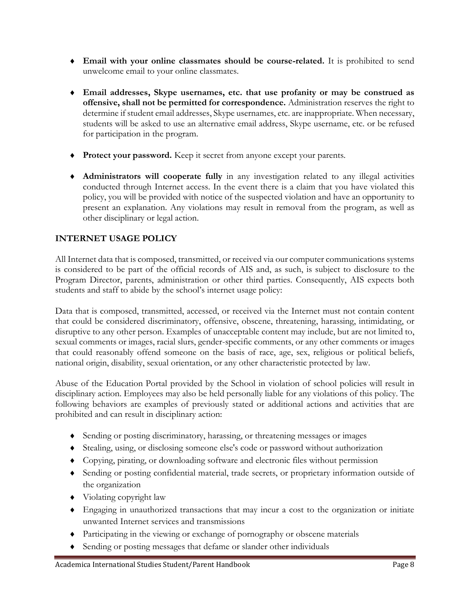- **Email with your online classmates should be course-related.** It is prohibited to send unwelcome email to your online classmates.
- **Email addresses, Skype usernames, etc. that use profanity or may be construed as offensive, shall not be permitted for correspondence.** Administration reserves the right to determine if student email addresses, Skype usernames, etc. are inappropriate. When necessary, students will be asked to use an alternative email address, Skype username, etc. or be refused for participation in the program.
- **Protect your password.** Keep it secret from anyone except your parents.
- **Administrators will cooperate fully** in any investigation related to any illegal activities conducted through Internet access. In the event there is a claim that you have violated this policy, you will be provided with notice of the suspected violation and have an opportunity to present an explanation. Any violations may result in removal from the program, as well as other disciplinary or legal action.

# **INTERNET USAGE POLICY**

All Internet data that is composed, transmitted, or received via our computer communications systems is considered to be part of the official records of AIS and, as such, is subject to disclosure to the Program Director, parents, administration or other third parties. Consequently, AIS expects both students and staff to abide by the school's internet usage policy:

Data that is composed, transmitted, accessed, or received via the Internet must not contain content that could be considered discriminatory, offensive, obscene, threatening, harassing, intimidating, or disruptive to any other person. Examples of unacceptable content may include, but are not limited to, sexual comments or images, racial slurs, gender-specific comments, or any other comments or images that could reasonably offend someone on the basis of race, age, sex, religious or political beliefs, national origin, disability, sexual orientation, or any other characteristic protected by law.

Abuse of the Education Portal provided by the School in violation of school policies will result in disciplinary action. Employees may also be held personally liable for any violations of this policy. The following behaviors are examples of previously stated or additional actions and activities that are prohibited and can result in disciplinary action:

- Sending or posting discriminatory, harassing, or threatening messages or images
- Stealing, using, or disclosing someone else's code or password without authorization
- Copying, pirating, or downloading software and electronic files without permission
- Sending or posting confidential material, trade secrets, or proprietary information outside of the organization
- Violating copyright law
- Engaging in unauthorized transactions that may incur a cost to the organization or initiate unwanted Internet services and transmissions
- Participating in the viewing or exchange of pornography or obscene materials
- Sending or posting messages that defame or slander other individuals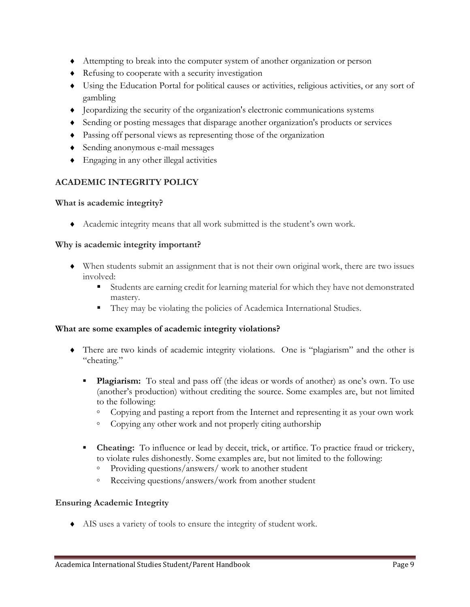- Attempting to break into the computer system of another organization or person
- Refusing to cooperate with a security investigation
- Using the Education Portal for political causes or activities, religious activities, or any sort of gambling
- Jeopardizing the security of the organization's electronic communications systems
- Sending or posting messages that disparage another organization's products or services
- Passing off personal views as representing those of the organization
- Sending anonymous e-mail messages
- Engaging in any other illegal activities

# **ACADEMIC INTEGRITY POLICY**

#### **What is academic integrity?**

Academic integrity means that all work submitted is the student's own work.

#### **Why is academic integrity important?**

- When students submit an assignment that is not their own original work, there are two issues involved:
	- Students are earning credit for learning material for which they have not demonstrated mastery.
	- They may be violating the policies of Academica International Studies.

## **What are some examples of academic integrity violations?**

- There are two kinds of academic integrity violations. One is "plagiarism" and the other is "cheating."
	- **Plagiarism:** To steal and pass off (the ideas or words of another) as one's own. To use (another's production) without crediting the source. Some examples are, but not limited to the following:
		- Copying and pasting a report from the Internet and representing it as your own work
		- Copying any other work and not properly citing authorship
	- **Cheating:** To influence or lead by deceit, trick, or artifice. To practice fraud or trickery, to violate rules dishonestly. Some examples are, but not limited to the following:
		- Providing questions/answers/ work to another student
		- Receiving questions/answers/work from another student

## **Ensuring Academic Integrity**

AIS uses a variety of tools to ensure the integrity of student work.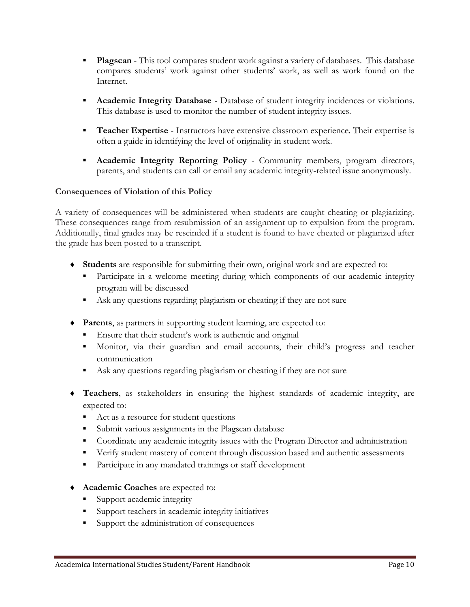- **Plagscan** This tool compares student work against a variety of databases. This database compares students' work against other students' work, as well as work found on the Internet.
- Academic Integrity Database Database of student integrity incidences or violations. This database is used to monitor the number of student integrity issues.
- **Teacher Expertise** Instructors have extensive classroom experience. Their expertise is often a guide in identifying the level of originality in student work.
- **Academic Integrity Reporting Policy** Community members, program directors, parents, and students can call or email any academic integrity-related issue anonymously.

## **Consequences of Violation of this Policy**

A variety of consequences will be administered when students are caught cheating or plagiarizing. These consequences range from resubmission of an assignment up to expulsion from the program. Additionally, final grades may be rescinded if a student is found to have cheated or plagiarized after the grade has been posted to a transcript.

- **Students** are responsible for submitting their own, original work and are expected to:
	- **•** Participate in a welcome meeting during which components of our academic integrity program will be discussed
	- Ask any questions regarding plagiarism or cheating if they are not sure
- **Parents**, as partners in supporting student learning, are expected to:
	- Ensure that their student's work is authentic and original
	- Monitor, via their guardian and email accounts, their child's progress and teacher communication
	- Ask any questions regarding plagiarism or cheating if they are not sure
- **Teachers**, as stakeholders in ensuring the highest standards of academic integrity, are expected to:
	- Act as a resource for student questions
	- Submit various assignments in the Plagscan database
	- **•** Coordinate any academic integrity issues with the Program Director and administration
	- **•** Verify student mastery of content through discussion based and authentic assessments
	- Participate in any mandated trainings or staff development
- **Academic Coaches** are expected to:
	- Support academic integrity
	- Support teachers in academic integrity initiatives
	- Support the administration of consequences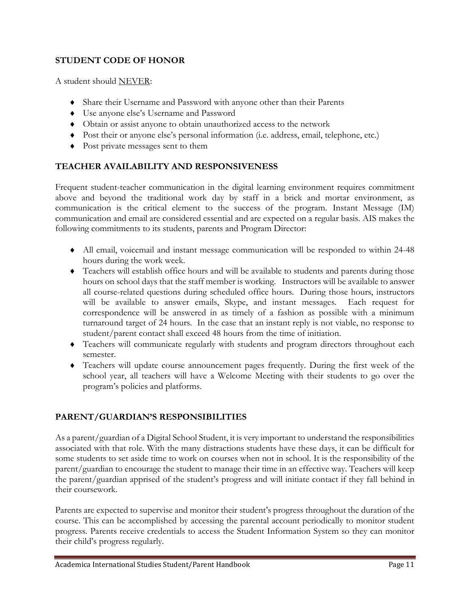## **STUDENT CODE OF HONOR**

A student should NEVER:

- Share their Username and Password with anyone other than their Parents
- Use anyone else's Username and Password
- Obtain or assist anyone to obtain unauthorized access to the network
- Post their or anyone else's personal information (i.e. address, email, telephone, etc.)
- Post private messages sent to them

# **TEACHER AVAILABILITY AND RESPONSIVENESS**

Frequent student-teacher communication in the digital learning environment requires commitment above and beyond the traditional work day by staff in a brick and mortar environment, as communication is the critical element to the success of the program. Instant Message (IM) communication and email are considered essential and are expected on a regular basis. AIS makes the following commitments to its students, parents and Program Director:

- All email, voicemail and instant message communication will be responded to within 24-48 hours during the work week.
- Teachers will establish office hours and will be available to students and parents during those hours on school days that the staff member is working. Instructors will be available to answer all course-related questions during scheduled office hours. During those hours, instructors will be available to answer emails, Skype, and instant messages. Each request for correspondence will be answered in as timely of a fashion as possible with a minimum turnaround target of 24 hours. In the case that an instant reply is not viable, no response to student/parent contact shall exceed 48 hours from the time of initiation.
- Teachers will communicate regularly with students and program directors throughout each semester.
- Teachers will update course announcement pages frequently. During the first week of the school year, all teachers will have a Welcome Meeting with their students to go over the program's policies and platforms.

# **PARENT/GUARDIAN'S RESPONSIBILITIES**

As a parent/guardian of a Digital School Student, it is very important to understand the responsibilities associated with that role. With the many distractions students have these days, it can be difficult for some students to set aside time to work on courses when not in school. It is the responsibility of the parent/guardian to encourage the student to manage their time in an effective way. Teachers will keep the parent/guardian apprised of the student's progress and will initiate contact if they fall behind in their coursework.

Parents are expected to supervise and monitor their student's progress throughout the duration of the course. This can be accomplished by accessing the parental account periodically to monitor student progress. Parents receive credentials to access the Student Information System so they can monitor their child's progress regularly.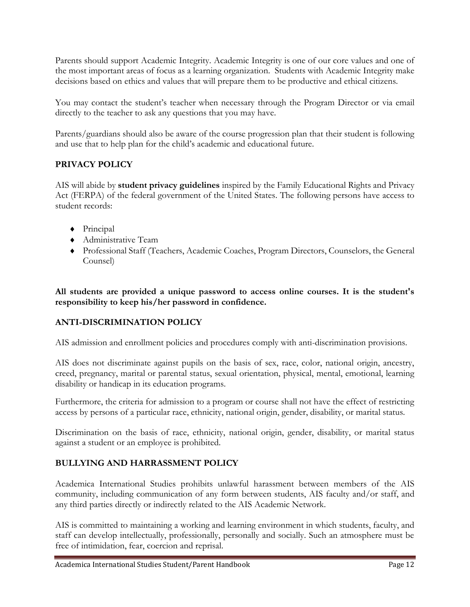Parents should support Academic Integrity. Academic Integrity is one of our core values and one of the most important areas of focus as a learning organization. Students with Academic Integrity make decisions based on ethics and values that will prepare them to be productive and ethical citizens.

You may contact the student's teacher when necessary through the Program Director or via email directly to the teacher to ask any questions that you may have.

Parents/guardians should also be aware of the course progression plan that their student is following and use that to help plan for the child's academic and educational future.

# **PRIVACY POLICY**

AIS will abide by **student privacy guidelines** inspired by the Family Educational Rights and Privacy Act (FERPA) of the federal government of the United States. The following persons have access to student records:

- Principal
- Administrative Team
- Professional Staff (Teachers, Academic Coaches, Program Directors, Counselors, the General Counsel)

**All students are provided a unique password to access online courses. It is the student's responsibility to keep his/her password in confidence.**

# **ANTI-DISCRIMINATION POLICY**

AIS admission and enrollment policies and procedures comply with anti-discrimination provisions.

AIS does not discriminate against pupils on the basis of sex, race, color, national origin, ancestry, creed, pregnancy, marital or parental status, sexual orientation, physical, mental, emotional, learning disability or handicap in its education programs.

Furthermore, the criteria for admission to a program or course shall not have the effect of restricting access by persons of a particular race, ethnicity, national origin, gender, disability, or marital status.

Discrimination on the basis of race, ethnicity, national origin, gender, disability, or marital status against a student or an employee is prohibited.

## **BULLYING AND HARRASSMENT POLICY**

Academica International Studies prohibits unlawful harassment between members of the AIS community, including communication of any form between students, AIS faculty and/or staff, and any third parties directly or indirectly related to the AIS Academic Network.

AIS is committed to maintaining a working and learning environment in which students, faculty, and staff can develop intellectually, professionally, personally and socially. Such an atmosphere must be free of intimidation, fear, coercion and reprisal.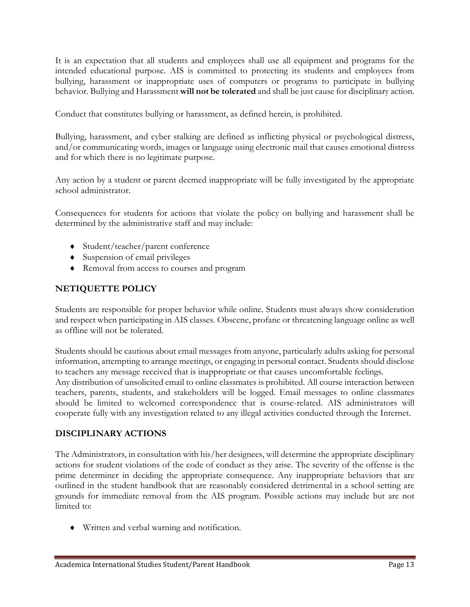It is an expectation that all students and employees shall use all equipment and programs for the intended educational purpose. AIS is committed to protecting its students and employees from bullying, harassment or inappropriate uses of computers or programs to participate in bullying behavior. Bullying and Harassment **will not be tolerated** and shall be just cause for disciplinary action.

Conduct that constitutes bullying or harassment, as defined herein, is prohibited.

Bullying, harassment, and cyber stalking are defined as inflicting physical or psychological distress, and/or communicating words, images or language using electronic mail that causes emotional distress and for which there is no legitimate purpose.

Any action by a student or parent deemed inappropriate will be fully investigated by the appropriate school administrator.

Consequences for students for actions that violate the policy on bullying and harassment shall be determined by the administrative staff and may include:

- ◆ Student/teacher/parent conference
- Suspension of email privileges
- Removal from access to courses and program

# **NETIQUETTE POLICY**

Students are responsible for proper behavior while online. Students must always show consideration and respect when participating in AIS classes. Obscene, profane or threatening language online as well as offline will not be tolerated.

Students should be cautious about email messages from anyone, particularly adults asking for personal information, attempting to arrange meetings, or engaging in personal contact. Students should disclose to teachers any message received that is inappropriate or that causes uncomfortable feelings. Any distribution of unsolicited email to online classmates is prohibited. All course interaction between teachers, parents, students, and stakeholders will be logged. Email messages to online classmates should be limited to welcomed correspondence that is course-related. AIS administrators will cooperate fully with any investigation related to any illegal activities conducted through the Internet.

## **DISCIPLINARY ACTIONS**

The Administrators, in consultation with his/her designees, will determine the appropriate disciplinary actions for student violations of the code of conduct as they arise. The severity of the offense is the prime determiner in deciding the appropriate consequence. Any inappropriate behaviors that are outlined in the student handbook that are reasonably considered detrimental in a school setting are grounds for immediate removal from the AIS program. Possible actions may include but are not limited to:

Written and verbal warning and notification.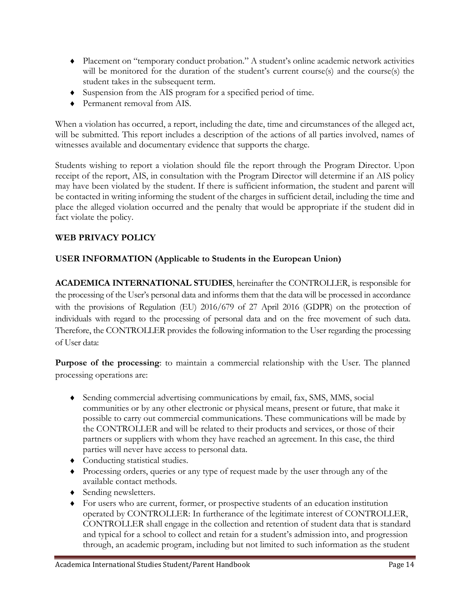- Placement on "temporary conduct probation." A student's online academic network activities will be monitored for the duration of the student's current course(s) and the course(s) the student takes in the subsequent term.
- Suspension from the AIS program for a specified period of time.
- Permanent removal from AIS.

When a violation has occurred, a report, including the date, time and circumstances of the alleged act, will be submitted. This report includes a description of the actions of all parties involved, names of witnesses available and documentary evidence that supports the charge.

Students wishing to report a violation should file the report through the Program Director. Upon receipt of the report, AIS, in consultation with the Program Director will determine if an AIS policy may have been violated by the student. If there is sufficient information, the student and parent will be contacted in writing informing the student of the charges in sufficient detail, including the time and place the alleged violation occurred and the penalty that would be appropriate if the student did in fact violate the policy.

# **WEB PRIVACY POLICY**

# **USER INFORMATION (Applicable to Students in the European Union)**

**ACADEMICA INTERNATIONAL STUDIES**, hereinafter the CONTROLLER, is responsible for the processing of the User's personal data and informs them that the data will be processed in accordance with the provisions of Regulation (EU) 2016/679 of 27 April 2016 (GDPR) on the protection of individuals with regard to the processing of personal data and on the free movement of such data. Therefore, the CONTROLLER provides the following information to the User regarding the processing of User data:

**Purpose of the processing**: to maintain a commercial relationship with the User. The planned processing operations are:

- Sending commercial advertising communications by email, fax, SMS, MMS, social communities or by any other electronic or physical means, present or future, that make it possible to carry out commercial communications. These communications will be made by the CONTROLLER and will be related to their products and services, or those of their partners or suppliers with whom they have reached an agreement. In this case, the third parties will never have access to personal data.
- Conducting statistical studies.
- Processing orders, queries or any type of request made by the user through any of the available contact methods.
- Sending newsletters.
- For users who are current, former, or prospective students of an education institution operated by CONTROLLER: In furtherance of the legitimate interest of CONTROLLER, CONTROLLER shall engage in the collection and retention of student data that is standard and typical for a school to collect and retain for a student's admission into, and progression through, an academic program, including but not limited to such information as the student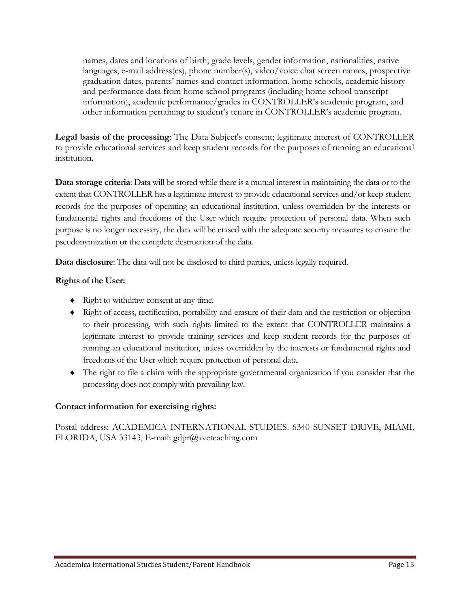names, dates and locations of birth, grade levels, gender information, nationalities, native languages, e-mail address(es), phone number(s), video/voice chat screen names, prospective graduation dates, parents' names and contact information, home schools, academic history and performance data from home school programs (including home school transcript information), academic performance/grades in CONTROLLER's academic program, and other information pertaining to student's tenure in CONTROLLER's academic program.

**Legal basis of the processing**: The Data Subject's consent; legitimate interest of CONTROLLER to provide educational services and keep student records for the purposes of running an educational institution.

**Data storage criteria**: Data will be stored while there is a mutual interest in maintaining the data or to the extent that CONTROLLER has a legitimate interest to provide educational services and/or keep student records for the purposes of operating an educational institution, unless overridden by the interests or fundamental rights and freedoms of the User which require protection of personal data. When such purpose is no longer necessary, the data will be erased with the adequate security measures to ensure the pseudonymization or the complete destruction of the data.

**Data disclosure**: The data will not be disclosed to third parties, unless legally required.

## **Rights of the User:**

- Right to withdraw consent at any time.
- Right of access, rectification, portability and erasure of their data and the restriction or objection to their processing, with such rights limited to the extent that CONTROLLER maintains a legitimate interest to provide training services and keep student records for the purposes of running an educational institution, unless overridden by the interests or fundamental rights and freedoms of the User which require protection of personal data.
- The right to file a claim with the appropriate governmental organization if you consider that the processing does not comply with prevailing law.

## **Contact information for exercising rights:**

Postal address: ACADEMICA INTERNATIONAL STUDIES. 6340 SUNSET DRIVE, MIAMI, FLORIDA, USA 33143, E-mail: gdpr@aveteaching.com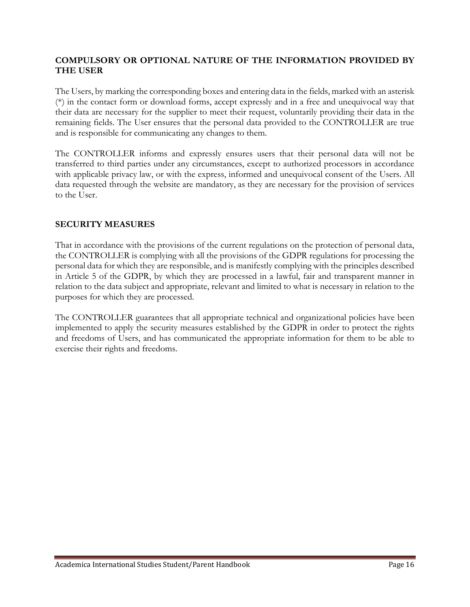#### **COMPULSORY OR OPTIONAL NATURE OF THE INFORMATION PROVIDED BY THE USER**

The Users, by marking the corresponding boxes and entering data in the fields, marked with an asterisk (\*) in the contact form or download forms, accept expressly and in a free and unequivocal way that their data are necessary for the supplier to meet their request, voluntarily providing their data in the remaining fields. The User ensures that the personal data provided to the CONTROLLER are true and is responsible for communicating any changes to them.

The CONTROLLER informs and expressly ensures users that their personal data will not be transferred to third parties under any circumstances, except to authorized processors in accordance with applicable privacy law, or with the express, informed and unequivocal consent of the Users. All data requested through the website are mandatory, as they are necessary for the provision of services to the User.

#### **SECURITY MEASURES**

That in accordance with the provisions of the current regulations on the protection of personal data, the CONTROLLER is complying with all the provisions of the GDPR regulations for processing the personal data for which they are responsible, and is manifestly complying with the principles described in Article 5 of the GDPR, by which they are processed in a lawful, fair and transparent manner in relation to the data subject and appropriate, relevant and limited to what is necessary in relation to the purposes for which they are processed.

The CONTROLLER guarantees that all appropriate technical and organizational policies have been implemented to apply the security measures established by the GDPR in order to protect the rights and freedoms of Users, and has communicated the appropriate information for them to be able to exercise their rights and freedoms.